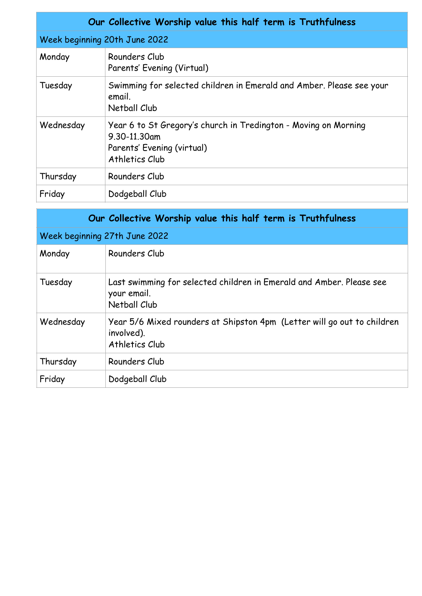| Our Collective Worship value this half term is Truthfulness |                                                                                                                                 |  |  |
|-------------------------------------------------------------|---------------------------------------------------------------------------------------------------------------------------------|--|--|
| Week beginning 20th June 2022                               |                                                                                                                                 |  |  |
| Monday                                                      | Rounders Club<br>Parents' Evening (Virtual)                                                                                     |  |  |
| Tuesday                                                     | Swimming for selected children in Emerald and Amber. Please see your<br>email.<br>Netball Club                                  |  |  |
| Wednesday                                                   | Year 6 to St Gregory's church in Tredington - Moving on Morning<br>9.30-11.30am<br>Parents' Evening (virtual)<br>Athletics Club |  |  |
| Thursday                                                    | Rounders Club                                                                                                                   |  |  |
| Friday                                                      | Dodgeball Club                                                                                                                  |  |  |

| Our Collective Worship value this half term is Truthfulness |                                                                                                         |  |
|-------------------------------------------------------------|---------------------------------------------------------------------------------------------------------|--|
| Week beginning 27th June 2022                               |                                                                                                         |  |
| Monday                                                      | Rounders Club                                                                                           |  |
| Tuesday                                                     | Last swimming for selected children in Emerald and Amber. Please see<br>your email.<br>Netball Club     |  |
| Wednesday                                                   | Year 5/6 Mixed rounders at Shipston 4pm (Letter will go out to children<br>involved).<br>Athletics Club |  |
| Thursday                                                    | Rounders Club                                                                                           |  |
| Friday                                                      | Dodgeball Club                                                                                          |  |